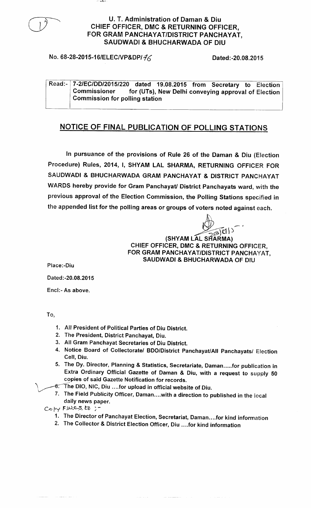

## No. 68-28-2015-16/ELEC/VP&DP/  $\frac{20.0832015}{20.0832015}$

**Read:- 7-2/EC**/**DD/2015**/**220 dated 19.08** .**2015 from Secretary to Election Commissioner for (UTs**), **New Delhi conveying approval of Election Commission for polling station**

### **NOTICE OF FINAL PUBLICATION OF POLLING STATIONS**

**In pursuance of the provisions of Rule 26 of the Daman & Diu** (**Election Procedure** ) **Rules**, **2014**, **I, SHYAM LAL SHARMA**, **RETURNING OFFICER FOR SAUDWADI & BHUCHARWADA GRAM PANCHAYAT** & **DISTRICT PANCHAYAT WARDS hereby provide for Gram Panchayat/ District Panchayats ward, with the previous approval of the Election Commission** , **the Polling Stations specified in the appended list for the polling areas or groups of voters noted against each.**

 $\supseteq$ 

**(SITYAM LAL SHARMA) CHIEF OFFICER** , **DMC & RETURNING** OFFICER, **FOR GRAM PANCHAYAT**/DISTRICT PANCHAYAT, **SAUDWADI & BHUCHARWADA OF DIU**

**Place:-Diu**

**Dated** :-**20.08.2015**

**Encl:- As above.**

To,

- **1. All President of Political Parties of Diu District.**
- **2. The President**, **District Panchayat, Diu.**
- **3. All Gram Panchayat Secretaries of Diu District.**
- **4. Notice Board of Collectorate**/ **BDO/District Panchayat**/**All Panchayats**/ **Election Cell, Diu.**
- **5. The Dy. Director**, **Planning** & **Statistics, Secretariate** , **Daman** .....**for publication in Extra Ordinary Official Gazette of Daman** & **Diu, with a request to supply 50 copies of said Gazette Notification for records.**
- 1,3^6 The **DIO, NIC** , **Diu ....for upload in official website of Diu.**
- 7. The **Field Publicity Officer**, **Daman. . ..with a direction to published in the local daily news paper.**
- $C^{\circ}$ by F.W.C.S,  $E_0$ ;
	- **1. The Director of Panchayat Election** , **Secretariat**, **Daman** ....**for kind information**
	- **2. The Collector** & **District Election Officer**, **Diu ....for kind information**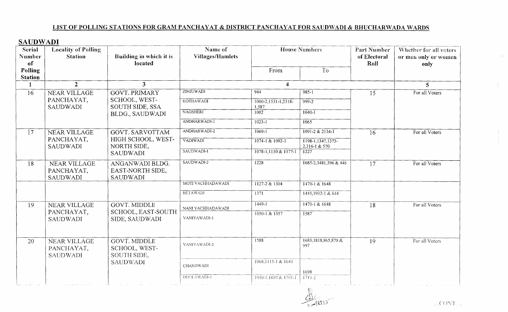#### LIST OF POLLING STATIONS FOR GRAM PANCHAYAT & DISTRICT PANCHAYAT FOR SAUDWADI & BHUCHARWADA WARDS

## **SAUDWADI**

| <b>Villages/Hamlets</b><br>Number<br><b>Station</b><br>Building in which it is<br>of Electoral<br>or men only or women<br>located<br>of<br>Roll<br>only<br>Polling<br>To<br>From<br><b>Station</b><br>$\overline{2}$<br>$\overline{\mathbf{3}}$<br>$\overline{\mathbf{4}}$<br>$\mathbf{1}$<br>$5\overline{)}$<br><b>ZINJUWADI</b><br>944<br>$985 - 1$<br><b>GOVT. PRIMARY</b><br>15<br>For all Voters<br>16<br>NEAR VILLAGE<br>SCHOOL, WEST-<br>PANCHAYAT,<br><b>KOTHAWADI</b><br>$1000 - 2, 1531 - 1, 2318$<br>$999-2$<br><b>SAUDWADI</b><br><b>SOUTH SIDE, SSA</b><br>1,587<br><b>NAGSHERI</b><br>1002<br>$1040 - 1$<br>BLDG., SAUDWADI<br>ANDHARWADI-1<br>$1023 - 1$<br>1065<br>ANDHARWADI-2<br>$1069 - 1$<br>$1091 - 2 & 2134 - 1$<br>17<br>NEAR VILLAGE<br><b>GOVT. SARVOTTAM</b><br>For all Voters<br>16<br>PANCHAYAT,<br>HIGH SCHOOL, WEST-<br><b>VADIWADI</b><br>$1074 - 1 & 1092 - 1$<br>1198-1, 1347, 1373-<br>NORTH SIDE,<br><b>SAUDWADI</b><br>2,316-1 & 570<br>SAUDWADI-1<br>1078-1,1130 & 1177-1<br>1227<br><b>SAUDWADI</b><br>SAUDWADI-2<br>1228<br>1685-2,3481,396 & 446<br>NEAR VILLAGE<br>ANGANWADI BLDG.<br>18<br>17<br>For all Voters<br>PANCHAYAT,<br>EAST-NORTH SIDE,<br><b>SAUDWADI</b><br><b>SAUDWADI</b><br>MOTI VACHHADAWADI<br>1127-2 & 1304<br>$1470 - 1 & 1648$<br><b>BETAWADI</b><br>1371<br>$1445, 1932 - 1$ & 644<br>$1449 - 1$<br>1470-1 & 1648<br><b>GOVT. MIDDLE</b><br><b>NEAR VILLAGE</b><br>19<br>18<br>For all Voters<br>NANI VACHHADAWADI<br>SCHOOL, EAST-SOUTH<br>PANCHAYAT,<br>1050-1 & 1357<br>1587<br>VANIYAWADI-1<br>SIDE, SAUDWADI<br><b>SAUDWADI</b><br>1588<br>1683, 1818, 865, 870 &<br><b>GOVT. MIDDLE</b><br>For all Voters<br>20<br>NEAR VILLAGE<br>19<br>VANIYAWADI-2<br>997<br>PANCHAYAT,<br>SCHOOL, WEST-<br>SOUTH SIDE,<br><b>SAUDWADI</b><br>1068,1115-1 & 1640<br><b>SAUDWADI</b><br><b>CHANDWADI</b><br>1698<br>DHOLAWADI-1<br>1040-1.1692 & 1701-1<br>$1719 - 2$ | <b>Serial</b> | <b>Locality of Polling</b> | Name of | <b>House Numbers</b> | Part Number | Whether for all voters |
|------------------------------------------------------------------------------------------------------------------------------------------------------------------------------------------------------------------------------------------------------------------------------------------------------------------------------------------------------------------------------------------------------------------------------------------------------------------------------------------------------------------------------------------------------------------------------------------------------------------------------------------------------------------------------------------------------------------------------------------------------------------------------------------------------------------------------------------------------------------------------------------------------------------------------------------------------------------------------------------------------------------------------------------------------------------------------------------------------------------------------------------------------------------------------------------------------------------------------------------------------------------------------------------------------------------------------------------------------------------------------------------------------------------------------------------------------------------------------------------------------------------------------------------------------------------------------------------------------------------------------------------------------------------------------------------------------------------------------------------------------------------------------------------------------------------------------------------------------------------------------------------------------------------------------|---------------|----------------------------|---------|----------------------|-------------|------------------------|
|                                                                                                                                                                                                                                                                                                                                                                                                                                                                                                                                                                                                                                                                                                                                                                                                                                                                                                                                                                                                                                                                                                                                                                                                                                                                                                                                                                                                                                                                                                                                                                                                                                                                                                                                                                                                                                                                                                                              |               |                            |         |                      |             |                        |
|                                                                                                                                                                                                                                                                                                                                                                                                                                                                                                                                                                                                                                                                                                                                                                                                                                                                                                                                                                                                                                                                                                                                                                                                                                                                                                                                                                                                                                                                                                                                                                                                                                                                                                                                                                                                                                                                                                                              |               |                            |         |                      |             |                        |
|                                                                                                                                                                                                                                                                                                                                                                                                                                                                                                                                                                                                                                                                                                                                                                                                                                                                                                                                                                                                                                                                                                                                                                                                                                                                                                                                                                                                                                                                                                                                                                                                                                                                                                                                                                                                                                                                                                                              |               |                            |         |                      |             |                        |
|                                                                                                                                                                                                                                                                                                                                                                                                                                                                                                                                                                                                                                                                                                                                                                                                                                                                                                                                                                                                                                                                                                                                                                                                                                                                                                                                                                                                                                                                                                                                                                                                                                                                                                                                                                                                                                                                                                                              |               |                            |         |                      |             |                        |
|                                                                                                                                                                                                                                                                                                                                                                                                                                                                                                                                                                                                                                                                                                                                                                                                                                                                                                                                                                                                                                                                                                                                                                                                                                                                                                                                                                                                                                                                                                                                                                                                                                                                                                                                                                                                                                                                                                                              |               |                            |         |                      |             |                        |
|                                                                                                                                                                                                                                                                                                                                                                                                                                                                                                                                                                                                                                                                                                                                                                                                                                                                                                                                                                                                                                                                                                                                                                                                                                                                                                                                                                                                                                                                                                                                                                                                                                                                                                                                                                                                                                                                                                                              |               |                            |         |                      |             |                        |
|                                                                                                                                                                                                                                                                                                                                                                                                                                                                                                                                                                                                                                                                                                                                                                                                                                                                                                                                                                                                                                                                                                                                                                                                                                                                                                                                                                                                                                                                                                                                                                                                                                                                                                                                                                                                                                                                                                                              |               |                            |         |                      |             |                        |
|                                                                                                                                                                                                                                                                                                                                                                                                                                                                                                                                                                                                                                                                                                                                                                                                                                                                                                                                                                                                                                                                                                                                                                                                                                                                                                                                                                                                                                                                                                                                                                                                                                                                                                                                                                                                                                                                                                                              |               |                            |         |                      |             |                        |
|                                                                                                                                                                                                                                                                                                                                                                                                                                                                                                                                                                                                                                                                                                                                                                                                                                                                                                                                                                                                                                                                                                                                                                                                                                                                                                                                                                                                                                                                                                                                                                                                                                                                                                                                                                                                                                                                                                                              |               |                            |         |                      |             |                        |
|                                                                                                                                                                                                                                                                                                                                                                                                                                                                                                                                                                                                                                                                                                                                                                                                                                                                                                                                                                                                                                                                                                                                                                                                                                                                                                                                                                                                                                                                                                                                                                                                                                                                                                                                                                                                                                                                                                                              |               |                            |         |                      |             |                        |
|                                                                                                                                                                                                                                                                                                                                                                                                                                                                                                                                                                                                                                                                                                                                                                                                                                                                                                                                                                                                                                                                                                                                                                                                                                                                                                                                                                                                                                                                                                                                                                                                                                                                                                                                                                                                                                                                                                                              |               |                            |         |                      |             |                        |
|                                                                                                                                                                                                                                                                                                                                                                                                                                                                                                                                                                                                                                                                                                                                                                                                                                                                                                                                                                                                                                                                                                                                                                                                                                                                                                                                                                                                                                                                                                                                                                                                                                                                                                                                                                                                                                                                                                                              |               |                            |         |                      |             |                        |
|                                                                                                                                                                                                                                                                                                                                                                                                                                                                                                                                                                                                                                                                                                                                                                                                                                                                                                                                                                                                                                                                                                                                                                                                                                                                                                                                                                                                                                                                                                                                                                                                                                                                                                                                                                                                                                                                                                                              |               |                            |         |                      |             |                        |
|                                                                                                                                                                                                                                                                                                                                                                                                                                                                                                                                                                                                                                                                                                                                                                                                                                                                                                                                                                                                                                                                                                                                                                                                                                                                                                                                                                                                                                                                                                                                                                                                                                                                                                                                                                                                                                                                                                                              |               |                            |         |                      |             |                        |
|                                                                                                                                                                                                                                                                                                                                                                                                                                                                                                                                                                                                                                                                                                                                                                                                                                                                                                                                                                                                                                                                                                                                                                                                                                                                                                                                                                                                                                                                                                                                                                                                                                                                                                                                                                                                                                                                                                                              |               |                            |         |                      |             |                        |
|                                                                                                                                                                                                                                                                                                                                                                                                                                                                                                                                                                                                                                                                                                                                                                                                                                                                                                                                                                                                                                                                                                                                                                                                                                                                                                                                                                                                                                                                                                                                                                                                                                                                                                                                                                                                                                                                                                                              |               |                            |         |                      |             |                        |
|                                                                                                                                                                                                                                                                                                                                                                                                                                                                                                                                                                                                                                                                                                                                                                                                                                                                                                                                                                                                                                                                                                                                                                                                                                                                                                                                                                                                                                                                                                                                                                                                                                                                                                                                                                                                                                                                                                                              |               |                            |         |                      |             |                        |
|                                                                                                                                                                                                                                                                                                                                                                                                                                                                                                                                                                                                                                                                                                                                                                                                                                                                                                                                                                                                                                                                                                                                                                                                                                                                                                                                                                                                                                                                                                                                                                                                                                                                                                                                                                                                                                                                                                                              |               |                            |         |                      |             |                        |
|                                                                                                                                                                                                                                                                                                                                                                                                                                                                                                                                                                                                                                                                                                                                                                                                                                                                                                                                                                                                                                                                                                                                                                                                                                                                                                                                                                                                                                                                                                                                                                                                                                                                                                                                                                                                                                                                                                                              |               |                            |         |                      |             |                        |

 $\frac{1}{2}$ 

 $\mathbf{v}$ 

A.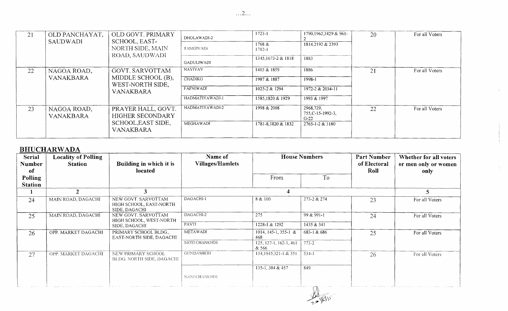| OLD PANCHAYAT,<br>21                  | OLD GOVT. PRIMARY                             | DHOLAWADI-2                                         | $1723 - 1$        | 1790, 1962, 3429 & 961-                    | 20               | For all Voters |                |
|---------------------------------------|-----------------------------------------------|-----------------------------------------------------|-------------------|--------------------------------------------|------------------|----------------|----------------|
|                                       | <b>SAUDWADI</b>                               | SCHOOL, EAST-<br>NORTH SIDE, MAIN<br>ROAD, SAUDWADI | <b>TANKIWADI</b>  | 1768 &<br>1782-1                           | 1814,2192 & 2393 |                |                |
|                                       |                                               |                                                     | <b>GADULIWADI</b> | 1345, 1673-2 & 1818                        | 1883             |                |                |
| 22                                    | <b>GOVT. SARVOTTAM</b><br>NAGOA ROAD,         |                                                     | <b>NAVIVAV</b>    | 1403 & 1859                                | 1886             | 21             | For all Voters |
|                                       | <b>VANAKBARA</b>                              | MIDDLE SCHOOL (B),<br>WEST-NORTH SIDE,              | <b>CHADIKO</b>    | 1987 & 1887                                | 1998-1           |                |                |
|                                       |                                               | VANAKBARA                                           | <b>FAFNIWADI</b>  | 1025-2 & 1294                              | 1972-2 & 2034-11 |                |                |
|                                       |                                               |                                                     | HADMATIYAWADI-1   | 1585,1820 & 1929                           | 1993 & 1997      |                |                |
| 23<br>NAGOA ROAD,<br><b>VANAKBARA</b> | PRAYER HALL, GOVT.<br><b>HIGHER SECONDARY</b> | HADMATIYAWADI-2                                     | 1998 & 2008       | 2968,729,<br>$755, C-15-1992-3,$<br>$G-22$ | 22               | For all Voters |                |
|                                       |                                               | SCHOOL, EAST SIDE,<br>VANAKBARA                     | MEGHAWADI         | 1781-8,1820 & 1832                         | 2765-1-2 & 3180  |                |                |

# **BHUCHARWADA**

| Serial<br>Number<br>of | <b>Locality of Polling</b><br><b>Station</b> | Building in which it is<br>located                             | Name of<br><b>Villages/Hamlets</b> | <b>House Numbers</b>            |                | Part Number<br>of Electoral<br>Roll | Whether for all voters<br>or men only or women<br>only |
|------------------------|----------------------------------------------|----------------------------------------------------------------|------------------------------------|---------------------------------|----------------|-------------------------------------|--------------------------------------------------------|
| Polling                |                                              |                                                                |                                    | From                            | To             |                                     |                                                        |
| <b>Station</b>         |                                              |                                                                |                                    |                                 |                |                                     |                                                        |
|                        |                                              |                                                                |                                    |                                 |                |                                     | 5.                                                     |
| 24                     | MAIN ROAD, DAGACHI                           | NEW GOVT SARVOTTAM<br>HIGH SCHOOL, EAST-NORTH<br>SIDE, DAGACHI | DAGACHI-1                          | 8 & 100                         | 273-2 & 274    | 23                                  | For all Voters                                         |
| 25                     | MAIN ROAD, DAGACHI                           | NEW GOVT. SARVOTTAM<br>HIGH SCHOOL, WEST-NORTH                 | DAGACHI-2                          | 275                             | $99 & 291 - 1$ | 24                                  | For all Voters                                         |
|                        |                                              | SIDE, DAGACHI                                                  | PAVTI                              | 1228-1 & 1292                   | 1435 & 341     |                                     |                                                        |
| 26                     | OPP. MARKET DAGACHI                          | PRIMARY SCHOOL BLDG.,<br>EAST-NORTH SIDE, DAGACHI              | <b>METAWADI</b>                    | 1014, 145-1, 355-1 &<br>468     | 683-1 & 686    | 25                                  | For all Voters                                         |
|                        |                                              |                                                                | MOTI CHANKHDI                      | 125, 127-1, 162-1, 461<br>& 566 | $773 - 2$      |                                     |                                                        |
| 27                     | OPP. MARKET DAGACHI                          | NEW PRIMARY SCHOOL<br>BLDG. NORTH SIDE, DAGACHI                | GUNDASHERI                         | 134, 1945, 321-1 & 351          | $534-1$        | 26                                  | For all Voters                                         |
|                        |                                              |                                                                |                                    | 135-1, 384 & 457                | 849            |                                     |                                                        |
|                        |                                              |                                                                | NANI CHANKHDI                      |                                 |                |                                     |                                                        |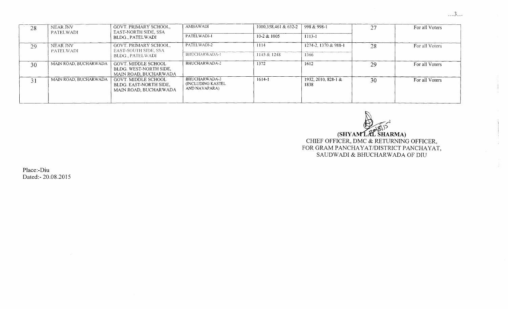|  | ٧ |  |  |
|--|---|--|--|

÷.

| 28 | NEAR JNV<br>PATELWADI        | GOVT. PRIMARY SCHOOL,<br>EAST-NORTH SIDE, SSA                          | AMBAWADI                                             | 1000,358,461 & 632-2 | 998 & 998-1                 | 27 | For all Voters |
|----|------------------------------|------------------------------------------------------------------------|------------------------------------------------------|----------------------|-----------------------------|----|----------------|
|    |                              | BLDG PATELWADI                                                         | PATELWADI-1                                          | $10-2 & 1005$        | 1113-1                      |    |                |
| 29 | NEAR JNV<br><b>PATELWADI</b> | GOVT. PRIMARY SCHOOL,<br>EAST-SOUTH SIDE, SSA                          | PATELWADI-2                                          | 1114                 | 1274-2, 1370 & 988-1        | 28 | For all Voters |
|    |                              | BLDG., PATELWADI                                                       | BHUCHARWADA-1                                        | 1145 & 1248          | 1366                        |    |                |
| 30 | MAIN ROAD. BUCHARWADA        | GOVT. MIDDLE SCHOOL<br>BLDG. WEST-NORTH SIDE,<br>MAIN ROAD, BUCHARWADA | BHUCHARWADA-2                                        | 1372                 | 1612                        | 29 | For all Voters |
| 31 | MAIN ROAD, BUCHARWADA        | GOVT. MIDDLE SCHOOL<br>BLDG. EAST-NORTH SIDE.<br>MAIN ROAD, BUCHARWADA | BHUCHARWADA-3<br>(INCLUDING KASTEL)<br>AND NAVAPARA) | 1614-1               | 1932, 2010, 828-1 &<br>1838 | 30 | For all Voters |
|    |                              |                                                                        |                                                      |                      |                             |    |                |

(SHYAMLAL SHARMA) CHIEF OFFICER, DMC & RETURNING OFFICER, FOR GRAM PANCHAYAT/DISTRICT PANCHAYAT, SAUDWADI & BHUCHARWADA OF DIU

Place:-Diu Dated:- 20.08.2015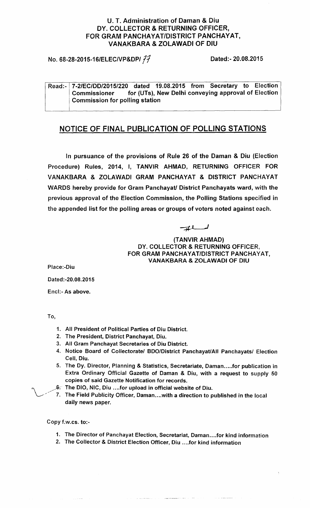#### **U. T. Administration of Daman & Diu** DY. COLLECTOR **& RETURNING OFFICER, FOR GRAM** PANCHAYAT/DISTRICT PANCHAYAT, **VANAKBARA & ZOLAWADI OF DIU**

**No. 68-28-2015-16/ELEC/VP&DP/ 77** 

**Dated** :- **20.08.2015**

**Read:- 7-2/EC**/**DD/2015**/**220 dated 19.08** .**2015 from Secretary to Election Commissioner for (UTs**), **New Delhi conveying approval of Election Commission for polling station**

## **NOTICE OF FINAL PUBLICATION OF POLLING STATIONS**

**In pursuance of the provisions of Rule 26 of the Daman & Diu (Election** Procedure) Rules, 2014, I, TANVIR AHMAD, RETURNING OFFICER FOR VANAKBARA & ZOLAWADI GRAM PANCHAYAT & DISTRICT PANCHAYAT WARDS **hereby provide for Gram Panchayat**/ **District Panchayats ward** , with the **previous approval of the Election Commission** , **the Polling Stations specified in the appended list for the polling areas or groups of voters noted against each.**

**(TANVIR AHMAD)** DY. COLLECTOR & **RETURNING** OFFICER, **FOR GRAM PANCHAYAT**/DISTRICT PANCHAYAT, **VANAKBARA** & ZOLAWADI OF DIU

**Place:-Diu**

**Dated** :-**20.08.2015**

**Encl:- As above.**

To,

- **1. All President of Political Parties of Diu District.**
- **2. The President, District Panchayat, Diu.**
- **3. All Gram Panchayat Secretaries of Diu District.**
- **4. Notice Board of Collectorate**/ **BDO/District Panchayat/AII Panchayats/ Election Cell, Diu.**
- **5. The Dy. Director**, **Planning & Statistics**, **Secretariate, Daman.....for publication in Extra Ordinary Official Gazette of Daman & Diu**, **with a request to supply 50 copies of said Gazette Notification for records.**
- The **DIO, NIC** , **Diu ....for upload in official website of Diu.**
- 7. The **Field Publicity Officer**, **Daman** . . ..**with a direction to published in the local daily news paper.**

Copy f.**w.cs. to:-**

- 1. The Director of Panchayat **Election**, **Secretariat, Daman** ....**for kind information**
- 2. The Collector & **District Election** Officer, **Diu ....for kind information**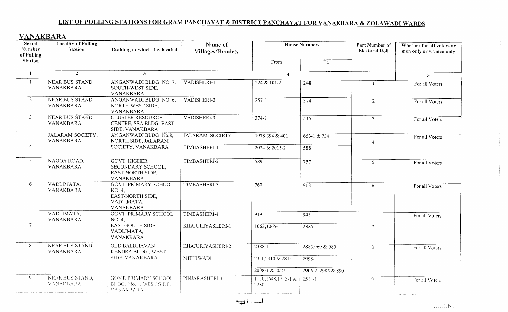# LIST OF POLLING STATIONS FOR GRAM PANCHAYAT & DISTRICT PANCHAYAT FOR VANAKBARA & ZOLAWADI WARDS

# VANAKBARA

| Serial<br>Number<br>of Polling | <b>Locality of Polling</b><br><b>Station</b> | Building in which it is located                                                      | Name of<br><b>Villages/Hamlets</b> |                           | <b>House Numbers</b> | Part Number of<br><b>Electoral Roll</b> | Whether for all voters or<br>men only or women only |
|--------------------------------|----------------------------------------------|--------------------------------------------------------------------------------------|------------------------------------|---------------------------|----------------------|-----------------------------------------|-----------------------------------------------------|
| <b>Station</b>                 |                                              |                                                                                      |                                    | From                      | To                   |                                         |                                                     |
| $\mathbf{1}$                   | $\overline{2}$                               | $\mathbf{3}$                                                                         |                                    | $\blacktriangleleft$      |                      |                                         | 5 <sup>5</sup>                                      |
| $\mathbf{1}$                   | NEAR BUS STAND,<br>VANAKBARA                 | ANGANWADI BLDG. NO. 7,<br>SOUTH-WEST SIDE,<br>VANAKBARA                              | VADISHERI-1                        | 224 & 101-2               | $\frac{1}{248}$      |                                         | For all Voters                                      |
| $\overline{2}$                 | NEAR BUS STAND,<br>VANAKBARA                 | ANGANWADI BLDG. NO. 6,<br>NORTH-WEST SIDE,<br>VANAKBARA                              | VADISHERI-2                        | $257 - 1$                 | $\overline{374}$     | $\overline{2}$                          | For all Voters                                      |
| 3 <sup>7</sup>                 | NEAR BUS STAND,<br>VANAKBARA                 | <b>CLUSTER RESOURCE</b><br>CENTRE, SSA BLDG., EAST<br>SIDE, VANAKBARA                | VADISHERI-3                        | $374 - 1$                 | $\overline{515}$     | $\overline{3}$                          | For all Voters                                      |
|                                | JALARAM SOCIETY,<br>VANAKBARA                | ANGANWADI BLDG. No.8,<br>NORTH SIDE, JALARAM                                         | <b>JALARAM SOCIETY</b>             | 1978,394 & 401            | $663 - 1 & 734$      |                                         | For all Voters                                      |
| 4                              |                                              | SOCIETY, VANAKBARA                                                                   | TIMBASHERI-1                       | 2024 & 2015-2             | $\overline{588}$     |                                         |                                                     |
| 5 <sup>1</sup>                 | NAGOA ROAD,<br>VANAKBARA                     | <b>GOVT. HIGHER</b><br>SECONDARY SCHOOL,<br>EAST-NORTH SIDE,<br>VANAKBARA            | TIMBASHERI-2                       | 589                       | 757                  | 5 <sup>1</sup>                          | For all Voters                                      |
| 6                              | VADLIMATA,<br>VANAKBARA                      | <b>GOVT. PRIMARY SCHOOL</b><br>NO. 4,<br>EAST-NORTH SIDE,<br>VADLIMATA,<br>VANAKBARA | TIMBASHERI-3                       | 760                       | 918                  | 6                                       | For all Voters                                      |
|                                | VADLIMATA,<br>VANAKBARA                      | <b>GOVT. PRIMARY SCHOOL</b><br>NO. 4,                                                | TIMBASHERI-4                       | 919                       | 943                  |                                         | For all Voters                                      |
| $\tau$                         |                                              | EAST-SOUTH SIDE,<br>VADLIMATA,<br>VANAKBARA                                          | KHAJURIYASHERI-1                   | $1063, 1065 - 1$          | 2385                 | $\overline{7}$                          |                                                     |
| 8                              | <b>NEAR BUS STAND,</b><br>VANAKBARA          | <b>OLD BALBHAVAN</b><br>KENDRA BLDG., WEST                                           | KHAJURIYASHERI-2                   | 2388-1                    | 2885,969 & 980       | 8                                       | For all Voters                                      |
|                                |                                              | SIDE, VANAKBARA                                                                      | <b>MITHIWADI</b>                   | 23-1,2410 & 2813          | 2998                 |                                         |                                                     |
|                                |                                              |                                                                                      |                                    | 2008-1 & 2027             | 2906-2, 2985 & 890   |                                         |                                                     |
| 9                              | NEAR BUS STAND,<br><b>VANAKBARA</b>          | <b>GOVT. PRIMARY SCHOOL</b><br>BLDG. No. 1, WEST SIDE,<br>VANAKBARA                  | PINJARASHERI-I                     | 1150,1648,1795-1&<br>2280 | $2514 - 1$           | 9                                       | For all Voters                                      |
|                                |                                              |                                                                                      | ــا ب                              |                           |                      |                                         |                                                     |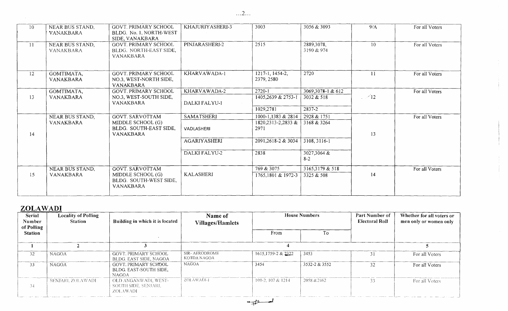| 10 | NEAR BUS STAND,<br><b>VANAKBARA</b> | GOVT. PRIMARY SCHOOL<br>BLDG. No. 1, NORTH-WEST<br>SIDE, VANAKBARA        | KHAJURIYASHERI-3     | 3003                          | 3056 & 3093              | 9/A             | For all Voters |
|----|-------------------------------------|---------------------------------------------------------------------------|----------------------|-------------------------------|--------------------------|-----------------|----------------|
| 11 | NEAR BUS STAND,<br><b>VANAKBARA</b> | <b>GOVT. PRIMARY SCHOOL</b><br>BLDG. NORTH-EAST SIDE,<br><b>VANAKBARA</b> | PINJARASHERI-2       | 2515                          | 2889,3078,<br>3190 & 974 | 10 <sup>°</sup> | For all Voters |
| 12 | GOMTIMATA,<br>VANAKBARA             | <b>GOVT. PRIMARY SCHOOL</b><br>NO.3, WEST-NORTH SIDE,<br><b>VANAKBARA</b> | KHARVAWADA-1         | 1217-1, 1454-2,<br>2379, 2580 | 2720                     | 11              | For all Voters |
|    | GOMTIMATA,                          | GOVT. PRIMARY SCHOOL                                                      | KHARVAWADA-2         | 2720-1                        | 3069,3078-1 & 612        |                 | For all Voters |
| 13 | <b>VANAKBARA</b>                    | NO.3, WEST-SOUTH SIDE,<br><b>VANAKBARA</b>                                | <b>DALKI FALYU-1</b> | 1405,2639 & 2753-1            | 3032 & 518               | $\sim$ 12       |                |
|    |                                     |                                                                           |                      | 1029,2781                     | 2837-2                   |                 |                |
|    | NEAR BUS STAND,                     | <b>GOVT. SARVOTTAM</b>                                                    | <b>SAMATSHERI</b>    | 1000-1,1383 & 2814            | 2928 & 1751              |                 | For all Voters |
|    | <b>VANAKBARA</b>                    | MIDDLE SCHOOL (G)                                                         |                      | $1820,2313-2,2833 \&$         | 3168 & 3264              |                 |                |
|    |                                     | BLDG. SOUTH-EAST SIDE,                                                    | VADLASHERI           | 2971                          |                          |                 |                |
| 14 |                                     | <b>VANAKBARA</b>                                                          |                      |                               |                          | 13              |                |
|    |                                     |                                                                           | <b>AGARIYASHERI</b>  | 2091,2618-2 & 3034            | 3108, 3116-1             |                 |                |
|    |                                     |                                                                           | <b>DALKI FALYU-2</b> | 2838                          | $3027,3064$ &<br>$8 - 2$ |                 |                |
|    |                                     |                                                                           |                      |                               |                          |                 |                |
| 15 | NEAR BUS STAND,                     | <b>GOVT. SARVOTTAM</b>                                                    | <b>KALASHERI</b>     | 769 & 3075                    | 3165,3179 & 518          | 14              | For all Voters |
|    | <b>VANAKBARA</b>                    | MIDDLE SCHOOL (G)<br>BLDG. SOUTH-WEST SIDE,<br><b>VANAKBARA</b>           |                      | 1765,1801 & 1972-3            | $3325 \& 508$            |                 |                |

# ZOLAWADI

| <b>Serial</b><br>Number<br>of Polling | <b>Locality of Polling</b><br><b>Station</b> | Building in which it is located                                | Name of<br><b>Villages/Hamlets</b> | <b>House Numbers</b>   |               | Part Number of<br><b>Electoral Roll</b> | Whether for all voters or<br>men only or women only |
|---------------------------------------|----------------------------------------------|----------------------------------------------------------------|------------------------------------|------------------------|---------------|-----------------------------------------|-----------------------------------------------------|
| <b>Station</b>                        |                                              |                                                                |                                    | From                   | Гo            |                                         |                                                     |
|                                       |                                              |                                                                |                                    |                        |               |                                         |                                                     |
| 32                                    | <b>NAGOA</b>                                 | GOVT. PRIMARY SCHOOL<br>BLDG. EAST SIDE, NAGOA                 | SIR-AERODROME<br>KOTDA NAGOA       | 1615, 1759-2 & 2322    | 3453          |                                         | For all Voters                                      |
| 33                                    | <b>NAGOA</b>                                 | GOVT. PRIMARY SCHOOL<br>BLDG. EAST-SOUTH SIDE.<br><b>NAGOA</b> | NAGOA                              | 3454                   | 3532-2 & 3552 | 32                                      | For all Voters                                      |
| 34                                    | -SENJARI, ZOLAWADI -                         | OLD ANGANWADI, WEST-<br>-SOUTH SIDE. SENJARI.<br>ZOLAWADI      | ZOLAWADI-I                         | $100-2$ , $107 & 1214$ | 2058 & 2462   | 33                                      | For all Voters                                      |

 $\dots$  2...

 $\frac{1}{\sqrt{1-\frac{1}{2}}}$